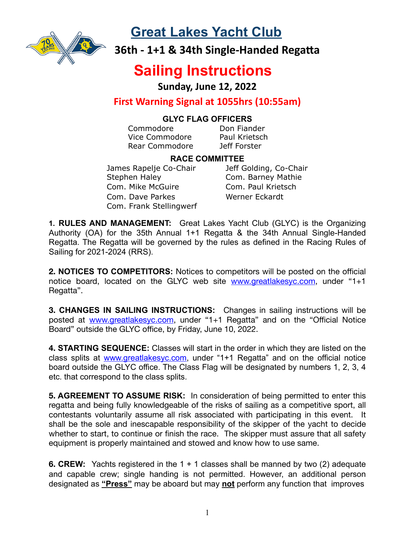

**Great Lakes Yacht Club**

**36th - 1+1 & 34th Single-Handed Regatta** 

# **Sailing Instructions**

**Sunday, June 12, 2022**

### **First Warning Signal at 1055hrs (10:55am)**

#### **GLYC FLAG OFFICERS**

Commodore Don Fiander Vice Commodore Paul Krietsch Rear Commodore Jeff Forster

#### **RACE COMMITTEE**

James Rapelje Co-Chair Jeff Golding, Co-Chair Stephen Haley **Com. Barney Mathie** Com. Mike McGuire Com. Paul Krietsch Com. Dave Parkes Werner Eckardt Com. Frank Stellingwerf

**1. RULES AND MANAGEMENT:** Great Lakes Yacht Club (GLYC) is the Organizing Authority (OA) for the 35th Annual 1+1 Regatta & the 34th Annual Single-Handed Regatta. The Regatta will be governed by the rules as defined in the Racing Rules of Sailing for 2021-2024 (RRS).

**2. NOTICES TO COMPETITORS:** Notices to competitors will be posted on the official notice board, located on the GLYC web site [www.greatlakesyc.com](http://www.greatlakesyc.com), under "1+1 Regatta".

**3. CHANGES IN SAILING INSTRUCTIONS:** Changes in sailing instructions will be posted at [www.greatlakesyc.com](http://www.greatlakesyc.com), under "1+1 Regatta" and on the "Official Notice Board" outside the GLYC office, by Friday, June 10, 2022.

**4. STARTING SEQUENCE:** Classes will start in the order in which they are listed on the class splits at [www.greatlakesyc.com](http://www.greatlakesyc.com), under "1+1 Regatta" and on the official notice board outside the GLYC office. The Class Flag will be designated by numbers 1, 2, 3, 4 etc. that correspond to the class splits.

**5. AGREEMENT TO ASSUME RISK:** In consideration of being permitted to enter this regatta and being fully knowledgeable of the risks of sailing as a competitive sport, all contestants voluntarily assume all risk associated with participating in this event. It shall be the sole and inescapable responsibility of the skipper of the yacht to decide whether to start, to continue or finish the race. The skipper must assure that all safety equipment is properly maintained and stowed and know how to use same.

**6. CREW:** Yachts registered in the 1 + 1 classes shall be manned by two (2) adequate and capable crew; single handing is not permitted. However, an additional person designated as **"Press"** may be aboard but may **not** perform any function that improves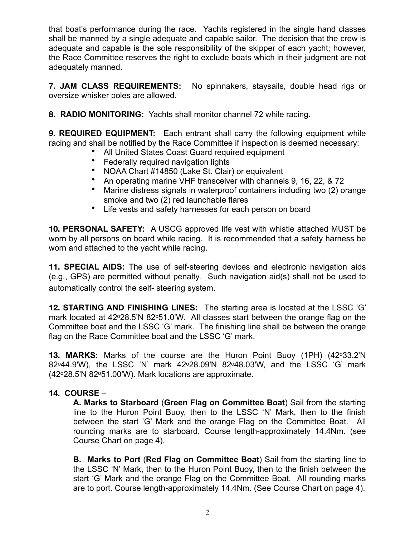that boat's performance during the race. Yachts registered in the single hand classes shall be manned by a single adequate and capable sailor. The decision that the crew is adequate and capable is the sole responsibility of the skipper of each yacht; however, the Race Committee reserves the right to exclude boats which in their judgment are not adequately manned.

**7. JAM CLASS REQUIREMENTS:** No spinnakers, staysails, double head rigs or oversize whisker poles are allowed.

**8. RADIO MONITORING:** Yachts shall monitor channel 72 while racing.

**9. REQUIRED EQUIPMENT:** Each entrant shall carry the following equipment while racing and shall be notified by the Race Committee if inspection is deemed necessary:

- All United States Coast Guard required equipment
- Federally required navigation lights
- NOAA Chart #14850 (Lake St. Clair) or equivalent
- An operating marine VHF transceiver with channels 9, 16, 22, & 72
- Marine distress signals in waterproof containers including two (2) orange smoke and two (2) red launchable flares
- Life vests and safety harnesses for each person on board

**10. PERSONAL SAFETY:** A USCG approved life vest with whistle attached MUST be worn by all persons on board while racing. It is recommended that a safety harness be worn and attached to the yacht while racing.

**11. SPECIAL AIDS:** The use of self-steering devices and electronic navigation aids (e.g., GPS) are permitted without penalty. Such navigation aid(s) shall not be used to automatically control the self- steering system.

**12. STARTING AND FINISHING LINES:** The starting area is located at the LSSC 'G' mark located at  $42^{\circ}28.5'N$  82 $^{\circ}51.0'W$ . All classes start between the orange flag on the Committee boat and the LSSC 'G' mark. The finishing line shall be between the orange flag on the Race Committee boat and the LSSC 'G' mark.

**13. MARKS:** Marks of the course are the Huron Point Buoy (1PH) (42o33.2'N 82o44.9'W), the LSSC 'N' mark 42o28.09'N 82o48.03'W, and the LSSC 'G' mark (42o28.5'N 82o51.00'W). Mark locations are approximate.

#### **14. COURSE** –

**A. Marks to Starboard** (**Green Flag on Committee Boat**) Sail from the starting line to the Huron Point Buoy, then to the LSSC 'N' Mark, then to the finish between the start 'G' Mark and the orange Flag on the Committee Boat. All rounding marks are to starboard. Course length-approximately 14.4Nm. (see Course Chart on page 4).

**B. Marks to Port** (**Red Flag on Committee Boat**) Sail from the starting line to the LSSC 'N' Mark, then to the Huron Point Buoy, then to the finish between the start 'G' Mark and the orange Flag on the Committee Boat. All rounding marks are to port. Course length-approximately 14.4Nm. (See Course Chart on page 4).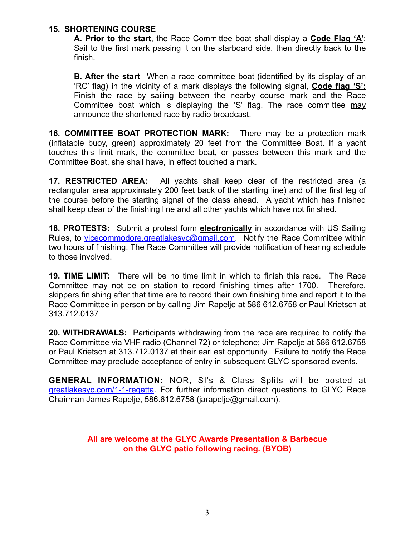#### **15. SHORTENING COURSE**

**A. Prior to the start**, the Race Committee boat shall display a **Code Flag 'A'**: Sail to the first mark passing it on the starboard side, then directly back to the finish.

**B. After the start** When a race committee boat (identified by its display of an 'RC' flag) in the vicinity of a mark displays the following signal, **Code flag 'S':** Finish the race by sailing between the nearby course mark and the Race Committee boat which is displaying the 'S' flag. The race committee may announce the shortened race by radio broadcast.

**16. COMMITTEE BOAT PROTECTION MARK:** There may be a protection mark (inflatable buoy, green) approximately 20 feet from the Committee Boat. If a yacht touches this limit mark, the committee boat, or passes between this mark and the Committee Boat, she shall have, in effect touched a mark.

**17. RESTRICTED AREA:** All yachts shall keep clear of the restricted area (a rectangular area approximately 200 feet back of the starting line) and of the first leg of the course before the starting signal of the class ahead. A yacht which has finished shall keep clear of the finishing line and all other yachts which have not finished.

**18. PROTESTS:** Submit a protest form **electronically** in accordance with US Sailing Rules, to vice commodore.greatlakes yc@gmail.com. Notify the Race Committee within two hours of finishing. The Race Committee will provide notification of hearing schedule to those involved.

**19. TIME LIMIT:** There will be no time limit in which to finish this race. The Race Committee may not be on station to record finishing times after 1700. Therefore, skippers finishing after that time are to record their own finishing time and report it to the Race Committee in person or by calling Jim Rapelje at 586 612.6758 or Paul Krietsch at 313.712.0137

**20. WITHDRAWALS:** Participants withdrawing from the race are required to notify the Race Committee via VHF radio (Channel 72) or telephone; Jim Rapelje at 586 612.6758 or Paul Krietsch at 313.712.0137 at their earliest opportunity. Failure to notify the Race Committee may preclude acceptance of entry in subsequent GLYC sponsored events.

**GENERAL INFORMATION:** NOR, SI's & Class Splits will be posted at [greatlakesyc.com/1-1-regatta](http://greatlakesyc.com/1-1-regatta). For further information direct questions to GLYC Race Chairman James Rapelje, 586.612.6758 (jarapelje@gmail.com).

#### **All are welcome at the GLYC Awards Presentation & Barbecue on the GLYC patio following racing. (BYOB)**